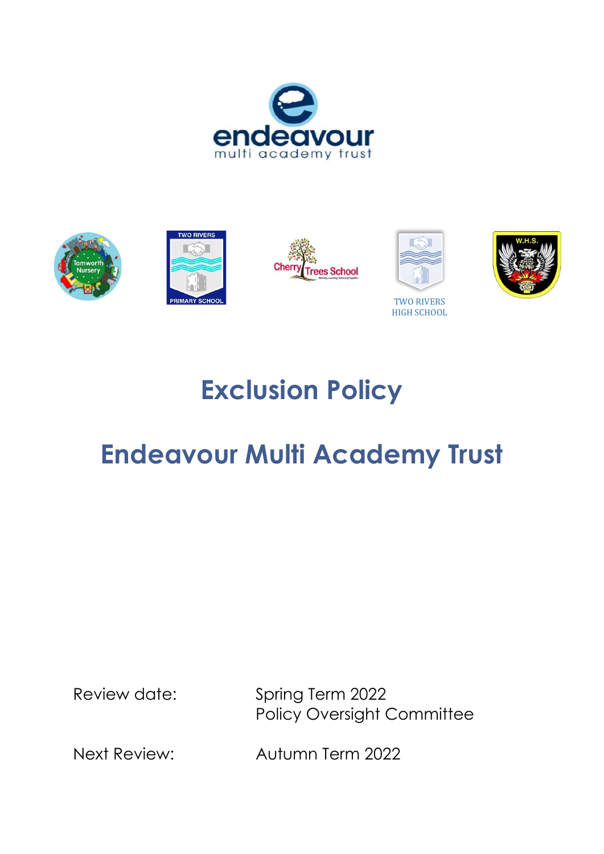









TWO RIVERS HIGH SCHOOL



# **Exclusion Policy**

# **Endeavour Multi Academy Trust**

Review date: Spring Term 2022 Policy Oversight Committee

Next Review: Autumn Term 2022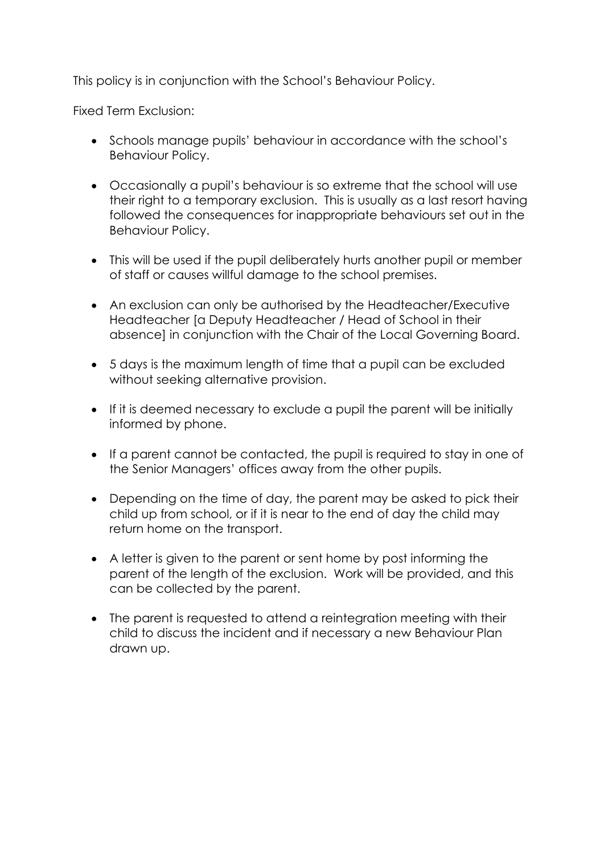This policy is in conjunction with the School's Behaviour Policy.

Fixed Term Exclusion:

- Schools manage pupils' behaviour in accordance with the school's Behaviour Policy.
- Occasionally a pupil's behaviour is so extreme that the school will use their right to a temporary exclusion. This is usually as a last resort having followed the consequences for inappropriate behaviours set out in the Behaviour Policy.
- This will be used if the pupil deliberately hurts another pupil or member of staff or causes willful damage to the school premises.
- An exclusion can only be authorised by the Headteacher/Executive Headteacher [a Deputy Headteacher / Head of School in their absence] in conjunction with the Chair of the Local Governing Board.
- 5 days is the maximum length of time that a pupil can be excluded without seeking alternative provision.
- If it is deemed necessary to exclude a pupil the parent will be initially informed by phone.
- If a parent cannot be contacted, the pupil is required to stay in one of the Senior Managers' offices away from the other pupils.
- Depending on the time of day, the parent may be asked to pick their child up from school, or if it is near to the end of day the child may return home on the transport.
- A letter is given to the parent or sent home by post informing the parent of the length of the exclusion. Work will be provided, and this can be collected by the parent.
- The parent is requested to attend a reintegration meeting with their child to discuss the incident and if necessary a new Behaviour Plan drawn up.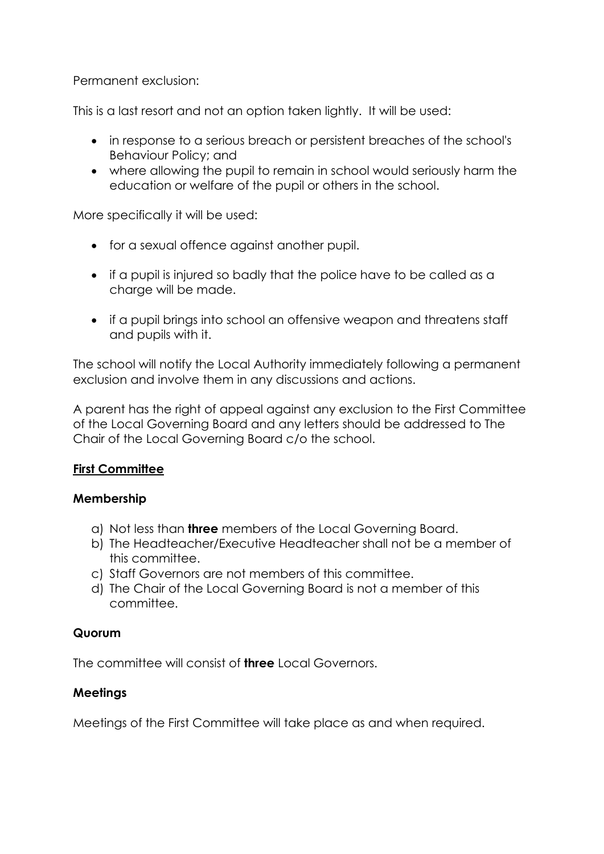Permanent exclusion:

This is a last resort and not an option taken lightly. It will be used:

- in response to a serious breach or persistent breaches of the school's Behaviour Policy; and
- where allowing the pupil to remain in school would seriously harm the education or welfare of the pupil or others in the school.

More specifically it will be used:

- for a sexual offence against another pupil.
- if a pupil is injured so badly that the police have to be called as a charge will be made.
- if a pupil brings into school an offensive weapon and threatens staff and pupils with it.

The school will notify the Local Authority immediately following a permanent exclusion and involve them in any discussions and actions.

A parent has the right of appeal against any exclusion to the First Committee of the Local Governing Board and any letters should be addressed to The Chair of the Local Governing Board c/o the school.

# **First Committee**

#### **Membership**

- a) Not less than **three** members of the Local Governing Board.
- b) The Headteacher/Executive Headteacher shall not be a member of this committee.
- c) Staff Governors are not members of this committee.
- d) The Chair of the Local Governing Board is not a member of this committee.

#### **Quorum**

The committee will consist of **three** Local Governors.

# **Meetings**

Meetings of the First Committee will take place as and when required.